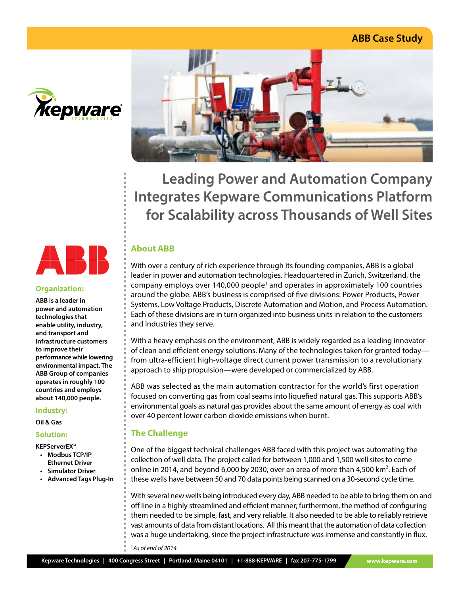# **ABB Case Study**



**Organization: ABB is a leader in power and automation technologies that enable utility, industry, and transport and infrastructure customers to improve their** 

**Industry: Oil & Gas Solution: KEPServerEX® • Modbus TCP/IP Ethernet Driver • Simulator Driver • Advanced Tags Plug-In**

**performance while lowering environmental impact. The ABB Group of companies operates in roughly 100 countries and employs about 140,000 people.**



**Leading Power and Automation Company Integrates Kepware Communications Platform for Scalability across Thousands of Well Sites**

## **About ABB**

With over a century of rich experience through its founding companies, ABB is a global leader in power and automation technologies. Headquartered in Zurich, Switzerland, the company employs over 140,000 people<sup>1</sup> and operates in approximately 100 countries around the globe. ABB's business is comprised of five divisions: Power Products, Power Systems, Low Voltage Products, Discrete Automation and Motion, and Process Automation. Each of these divisions are in turn organized into business units in relation to the customers and industries they serve.

With a heavy emphasis on the environment, ABB is widely regarded as a leading innovator of clean and efficient energy solutions. Many of the technologies taken for granted today from ultra-efficient high-voltage direct current power transmission to a revolutionary approach to ship propulsion—were developed or commercialized by ABB.

ABB was selected as the main automation contractor for the world's first operation focused on converting gas from coal seams into liquefied natural gas. This supports ABB's environmental goals as natural gas provides about the same amount of energy as coal with over 40 percent lower carbon dioxide emissions when burnt.

## **The Challenge**

One of the biggest technical challenges ABB faced with this project was automating the collection of well data. The project called for between 1,000 and 1,500 well sites to come online in 2014, and beyond 6,000 by 2030, over an area of more than 4,500 km². Each of these wells have between 50 and 70 data points being scanned on a 30-second cycle time.

With several new wells being introduced every day, ABB needed to be able to bring them on and off line in a highly streamlined and efficient manner; furthermore, the method of configuring them needed to be simple, fast, and very reliable. It also needed to be able to reliably retrieve vast amounts of data from distant locations. All this meant that the automation of data collection was a huge undertaking, since the project infrastructure was immense and constantly in flux.

*1 As of end of 2014.*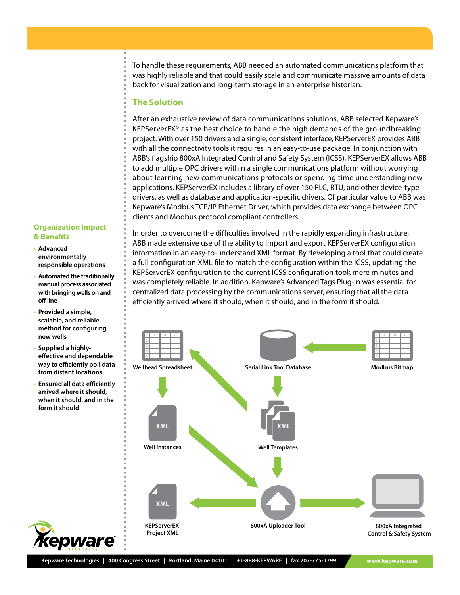To handle these requirements, ABB needed an automated communications platform that was highly reliable and that could easily scale and communicate massive amounts of data back for visualization and long-term storage in an enterprise historian.

#### **The Solution**

After an exhaustive review of data communications solutions, ABB selected Kepware's KEPServerEX® as the best choice to handle the high demands of the groundbreaking project. With over 150 drivers and a single, consistent interface, KEPServerEX provides ABB with all the connectivity tools it requires in an easy-to-use package. In conjunction with ABB's flagship 800xA Integrated Control and Safety System (ICSS), KEPServerEX allows ABB to add multiple OPC drivers within a single communications platform without worrying about learning new communications protocols or spending time understanding new applications. KEPServerEX includes a library of over 150 PLC, RTU, and other device-type drivers, as well as database and application-specific drivers. Of particular value to ABB was Kepware's Modbus TCP/IP Ethernet Driver, which provides data exchange between OPC clients and Modbus protocol compliant controllers.

#### **Organization Impact & Benefits**

- **• Advanced environmentally responsible operations**
- **• Automated the traditionally manual process associated with bringing wells on and off line**
- **• Provided a simple, scalable, and reliable method for configuring new wells**
- **• Supplied a highlyeffective and dependable way to efficiently poll data from distant locations**
- **• Ensured all data efficiently arrived where it should, when it should, and in the form it should**

In order to overcome the difficulties involved in the rapidly expanding infrastructure, ABB made extensive use of the ability to import and export KEPServerEX configuration information in an easy-to-understand XML format. By developing a tool that could create a full configuration XML file to match the configuration within the ICSS, updating the KEPServerEX configuration to the current ICSS configuration took mere minutes and was completely reliable. In addition, Kepware's Advanced Tags Plug-In was essential for centralized data processing by the communications server, ensuring that all the data efficiently arrived where it should, when it should, and in the form it should.